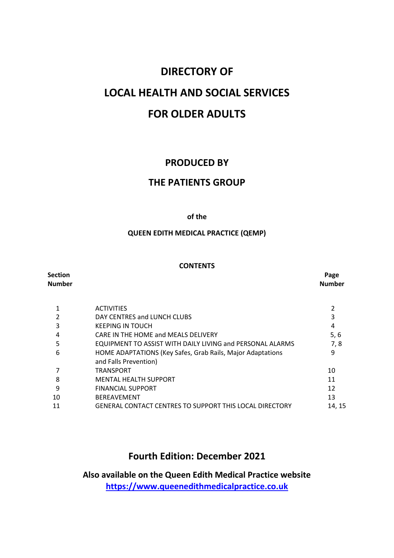# **DIRECTORY OF LOCAL HEALTH AND SOCIAL SERVICES FOR OLDER ADULTS**

### **PRODUCED BY**

### **THE PATIENTS GROUP**

#### **of the**

### **QUEEN EDITH MEDICAL PRACTICE (QEMP)**

#### **CONTENTS**

| Section<br>Number |                                                                                     | Page<br><b>Number</b> |
|-------------------|-------------------------------------------------------------------------------------|-----------------------|
|                   | <b>ACTIVITIES</b>                                                                   |                       |
| 2                 | DAY CENTRES and LUNCH CLUBS                                                         |                       |
| 3                 | <b>KEEPING IN TOUCH</b>                                                             | 4                     |
| 4                 | CARE IN THE HOME and MEALS DELIVERY                                                 | 5, 6                  |
| 5                 | <b>EQUIPMENT TO ASSIST WITH DAILY LIVING and PERSONAL ALARMS</b>                    | 7,8                   |
| 6                 | HOME ADAPTATIONS (Key Safes, Grab Rails, Major Adaptations<br>and Falls Prevention) | 9                     |
|                   | TRANSPORT                                                                           | 10                    |
| 8                 | <b>MENTAL HEALTH SUPPORT</b>                                                        | 11                    |
| 9                 | <b>FINANCIAL SUPPORT</b>                                                            | 12                    |
| 10                | <b>BEREAVEMENT</b>                                                                  | 13                    |
| 11                | <b>GENERAL CONTACT CENTRES TO SUPPORT THIS LOCAL DIRECTORY</b>                      | 14, 15                |
|                   |                                                                                     |                       |

### **Fourth Edition: December 2021**

**Also available on the Queen Edith Medical Practice website [https://www.queenedithmedicalpractice.co.uk](about:blank)**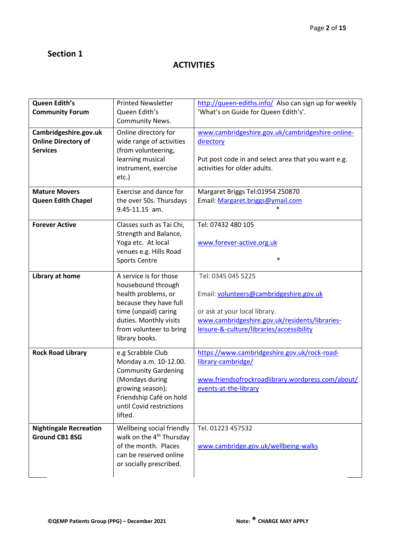# **ACTIVITIES**

| Queen Edith's<br><b>Community Forum</b>                                | <b>Printed Newsletter</b><br>Queen Edith's<br>Community News.                                                                                                                                | http://queen-ediths.info/ Also can sign up for weekly<br>'What's on Guide for Queen Edith's'.                                                                                                 |
|------------------------------------------------------------------------|----------------------------------------------------------------------------------------------------------------------------------------------------------------------------------------------|-----------------------------------------------------------------------------------------------------------------------------------------------------------------------------------------------|
| Cambridgeshire.gov.uk<br><b>Online Directory of</b><br><b>Services</b> | Online directory for<br>wide range of activities<br>(from volunteering,<br>learning musical<br>instrument, exercise<br>etc.)                                                                 | www.cambridgeshire.gov.uk/cambridgeshire-online-<br>directory<br>Put post code in and select area that you want e.g.<br>activities for older adults.                                          |
| <b>Mature Movers</b><br>Queen Edith Chapel                             | Exercise and dance for<br>the over 50s. Thursdays<br>9.45-11.15 am.                                                                                                                          | Margaret Briggs Tel:01954 250870<br>Email: Margaret.briggs@ymail.com                                                                                                                          |
| <b>Forever Active</b>                                                  | Classes such as Tai Chi,<br>Strength and Balance,<br>Yoga etc. At local<br>venues e.g. Hills Road<br><b>Sports Centre</b>                                                                    | Tel: 07432 480 105<br>www.forever-active.org.uk<br>$\ast$                                                                                                                                     |
| Library at home                                                        | A service is for those<br>housebound through<br>health problems, or<br>because they have full<br>time (unpaid) caring<br>duties. Monthly visits<br>from volunteer to bring<br>library books. | Tel: 0345 045 5225<br>Email: volunteers@cambridgeshire.gov.uk<br>or ask at your local library.<br>www.cambridgeshire.gov.uk/residents/libraries-<br>leisure-&-culture/libraries/accessibility |
| <b>Rock Road Library</b>                                               | e.g Scrabble Club<br>Monday a.m. 10-12.00.<br><b>Community Gardening</b><br>(Mondays during<br>growing season);<br>Friendship Café on hold<br>until Covid restrictions<br>lifted.            | https://www.cambridgeshire.gov.uk/rock-road-<br>library-cambridge/<br>www.friendsofrockroadlibrary.wordpress.com/about/<br>events-at-the-library                                              |
| <b>Nightingale Recreation</b><br><b>Ground CB1 8SG</b>                 | Wellbeing social friendly<br>walk on the 4 <sup>th</sup> Thursday<br>of the month. Places<br>can be reserved online<br>or socially prescribed.                                               | Tel. 01223 457532<br>www.cambridge.gov.uk/wellbeing-walks                                                                                                                                     |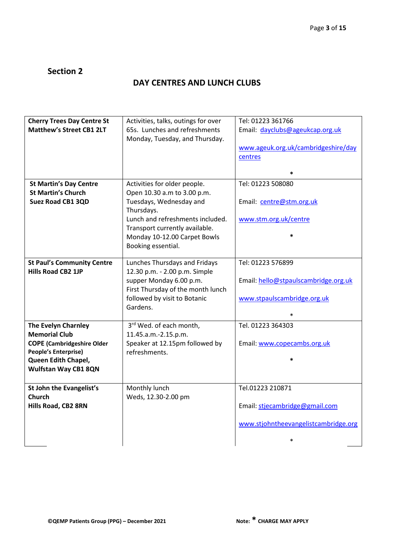# **DAY CENTRES AND LUNCH CLUBS**

| <b>Cherry Trees Day Centre St</b> | Activities, talks, outings for over      | Tel: 01223 361766                    |
|-----------------------------------|------------------------------------------|--------------------------------------|
| <b>Matthew's Street CB1 2LT</b>   | 65s. Lunches and refreshments            | Email: dayclubs@ageukcap.org.uk      |
|                                   | Monday, Tuesday, and Thursday.           |                                      |
|                                   |                                          | www.ageuk.org.uk/cambridgeshire/day  |
|                                   |                                          | centres                              |
|                                   |                                          |                                      |
|                                   |                                          | $\ast$                               |
| <b>St Martin's Day Centre</b>     | Activities for older people.             | Tel: 01223 508080                    |
| <b>St Martin's Church</b>         | Open 10.30 a.m to 3.00 p.m.              |                                      |
| Suez Road CB1 3QD                 | Tuesdays, Wednesday and                  | Email: centre@stm.org.uk             |
|                                   | Thursdays.                               |                                      |
|                                   | Lunch and refreshments included.         | www.stm.org.uk/centre                |
|                                   | Transport currently available.           |                                      |
|                                   | Monday 10-12.00 Carpet Bowls             |                                      |
|                                   | Booking essential.                       |                                      |
|                                   |                                          |                                      |
| <b>St Paul's Community Centre</b> | Lunches Thursdays and Fridays            | Tel: 01223 576899                    |
| <b>Hills Road CB2 1JP</b>         | 12.30 p.m. - 2.00 p.m. Simple            |                                      |
|                                   | supper Monday 6.00 p.m.                  | Email: hello@stpaulscambridge.org.uk |
|                                   | First Thursday of the month lunch        |                                      |
|                                   | followed by visit to Botanic<br>Gardens. | www.stpaulscambridge.org.uk          |
|                                   |                                          |                                      |
| <b>The Evelyn Charnley</b>        | 3rd Wed. of each month,                  | Tel. 01223 364303                    |
| <b>Memorial Club</b>              | 11.45.a.m.-2.15.p.m.                     |                                      |
| <b>COPE (Cambridgeshire Older</b> | Speaker at 12.15pm followed by           | Email: www.copecambs.org.uk          |
| People's Enterprise)              | refreshments.                            |                                      |
| Queen Edith Chapel,               |                                          | $\ast$                               |
| <b>Wulfstan Way CB1 8QN</b>       |                                          |                                      |
|                                   |                                          |                                      |
| St John the Evangelist's          | Monthly lunch                            | Tel.01223 210871                     |
| <b>Church</b>                     | Weds, 12.30-2.00 pm                      |                                      |
| <b>Hills Road, CB2 8RN</b>        |                                          | Email: stjecambridge@gmail.com       |
|                                   |                                          |                                      |
|                                   |                                          | www.stjohntheevangelistcambridge.org |
|                                   |                                          |                                      |
|                                   |                                          | *                                    |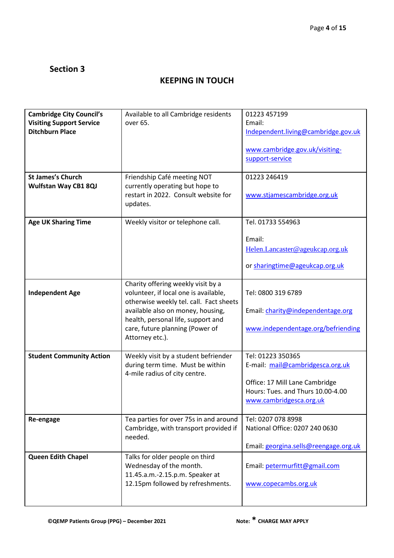# **KEEPING IN TOUCH**

| <b>Cambridge City Council's</b><br><b>Visiting Support Service</b><br><b>Ditchburn Place</b> | Available to all Cambridge residents<br>over 65.                                                                                                                                                                                                        | 01223 457199<br>Email:<br>Independent.living@cambridge.gov.uk<br>www.cambridge.gov.uk/visiting-<br>support-service                                      |
|----------------------------------------------------------------------------------------------|---------------------------------------------------------------------------------------------------------------------------------------------------------------------------------------------------------------------------------------------------------|---------------------------------------------------------------------------------------------------------------------------------------------------------|
| <b>St James's Church</b><br><b>Wulfstan Way CB1 8QJ</b>                                      | Friendship Café meeting NOT<br>currently operating but hope to<br>restart in 2022. Consult website for<br>updates.                                                                                                                                      | 01223 246419<br>www.stjamescambridge.org.uk                                                                                                             |
| <b>Age UK Sharing Time</b>                                                                   | Weekly visitor or telephone call.                                                                                                                                                                                                                       | Tel. 01733 554963<br>Email:<br>Helen.Lancaster@ageukcap.org.uk<br>or sharingtime@ageukcap.org.uk                                                        |
| <b>Independent Age</b>                                                                       | Charity offering weekly visit by a<br>volunteer, if local one is available,<br>otherwise weekly tel. call. Fact sheets<br>available also on money, housing,<br>health, personal life, support and<br>care, future planning (Power of<br>Attorney etc.). | Tel: 0800 319 6789<br>Email: charity@independentage.org<br>www.independentage.org/befriending                                                           |
| <b>Student Community Action</b>                                                              | Weekly visit by a student befriender<br>during term time. Must be within<br>4-mile radius of city centre.                                                                                                                                               | Tel: 01223 350365<br>E-mail: mail@cambridgesca.org.uk<br>Office: 17 Mill Lane Cambridge<br>Hours: Tues. and Thurs 10.00-4.00<br>www.cambridgesca.org.uk |
| Re-engage                                                                                    | Tea parties for over 75s in and around<br>Cambridge, with transport provided if<br>needed.                                                                                                                                                              | Tel: 0207 078 8998<br>National Office: 0207 240 0630<br>Email: georgina.sells@reengage.org.uk                                                           |
| <b>Queen Edith Chapel</b>                                                                    | Talks for older people on third<br>Wednesday of the month.<br>11.45.a.m.-2.15.p.m. Speaker at<br>12.15pm followed by refreshments.                                                                                                                      | Email: petermurfitt@gmail.com<br>www.copecambs.org.uk                                                                                                   |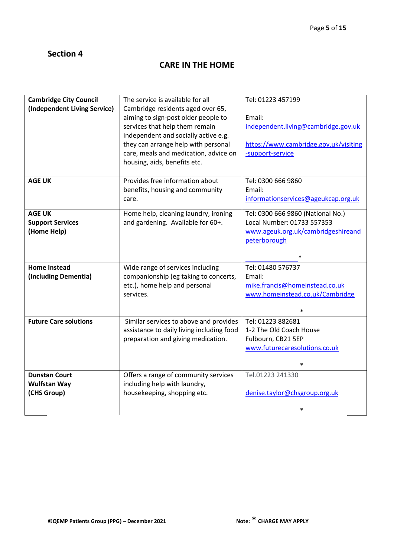# **CARE IN THE HOME**

| <b>Cambridge City Council</b> | The service is available for all           | Tel: 01223 457199                     |
|-------------------------------|--------------------------------------------|---------------------------------------|
| (Independent Living Service)  | Cambridge residents aged over 65,          |                                       |
|                               | aiming to sign-post older people to        | Email:                                |
|                               | services that help them remain             | independent.living@cambridge.gov.uk   |
|                               | independent and socially active e.g.       |                                       |
|                               | they can arrange help with personal        | https://www.cambridge.gov.uk/visiting |
|                               | care, meals and medication, advice on      | -support-service                      |
|                               | housing, aids, benefits etc.               |                                       |
|                               |                                            |                                       |
| <b>AGE UK</b>                 | Provides free information about            | Tel: 0300 666 9860                    |
|                               | benefits, housing and community            | Email:                                |
|                               | care.                                      | informationservices@ageukcap.org.uk   |
| <b>AGE UK</b>                 | Home help, cleaning laundry, ironing       | Tel: 0300 666 9860 (National No.)     |
| <b>Support Services</b>       | and gardening. Available for 60+.          | Local Number: 01733 557353            |
| (Home Help)                   |                                            | www.ageuk.org.uk/cambridgeshireand    |
|                               |                                            | peterborough                          |
|                               |                                            |                                       |
|                               |                                            |                                       |
| <b>Home Instead</b>           | Wide range of services including           | Tel: 01480 576737<br>Email:           |
| (Including Dementia)          | companionship (eg taking to concerts,      |                                       |
|                               | etc.), home help and personal<br>services. | mike.francis@homeinstead.co.uk        |
|                               |                                            | www.homeinstead.co.uk/Cambridge       |
|                               |                                            | $\ast$                                |
| <b>Future Care solutions</b>  | Similar services to above and provides     | Tel: 01223 882681                     |
|                               | assistance to daily living including food  | 1-2 The Old Coach House               |
|                               | preparation and giving medication.         | Fulbourn, CB21 5EP                    |
|                               |                                            | www.futurecaresolutions.co.uk         |
|                               |                                            | $\ast$                                |
| <b>Dunstan Court</b>          | Offers a range of community services       | Tel.01223 241330                      |
| <b>Wulfstan Way</b>           | including help with laundry,               |                                       |
| (CHS Group)                   | housekeeping, shopping etc.                | denise.taylor@chsgroup.org.uk         |
|                               |                                            |                                       |
|                               |                                            | $\ast$                                |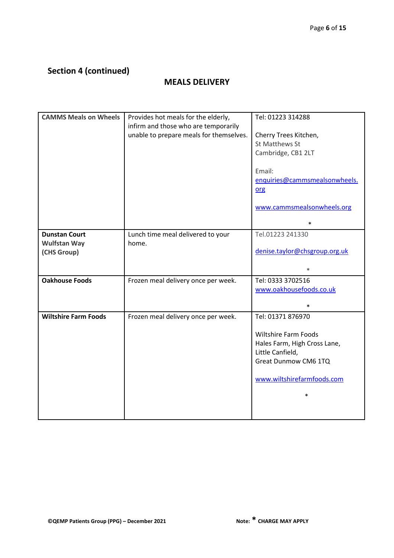# **Section 4 (continued)**

### **MEALS DELIVERY**

| <b>CAMMS Meals on Wheels</b> | Provides hot meals for the elderly,     | Tel: 01223 314288                                           |
|------------------------------|-----------------------------------------|-------------------------------------------------------------|
|                              | infirm and those who are temporarily    |                                                             |
|                              | unable to prepare meals for themselves. | Cherry Trees Kitchen,<br><b>St Matthews St</b>              |
|                              |                                         | Cambridge, CB1 2LT                                          |
|                              |                                         |                                                             |
|                              |                                         | Email:                                                      |
|                              |                                         | enquiries@cammsmealsonwheels.                               |
|                              |                                         | org                                                         |
|                              |                                         | www.cammsmealsonwheels.org                                  |
|                              |                                         | $\ast$                                                      |
| <b>Dunstan Court</b>         | Lunch time meal delivered to your       | Tel.01223 241330                                            |
| <b>Wulfstan Way</b>          | home.                                   |                                                             |
| (CHS Group)                  |                                         | denise.taylor@chsgroup.org.uk                               |
|                              |                                         | $\ast$                                                      |
| <b>Oakhouse Foods</b>        | Frozen meal delivery once per week.     | Tel: 0333 3702516                                           |
|                              |                                         | www.oakhousefoods.co.uk                                     |
|                              |                                         |                                                             |
|                              |                                         | $\ast$                                                      |
| <b>Wiltshire Farm Foods</b>  | Frozen meal delivery once per week.     | Tel: 01371 876970                                           |
|                              |                                         |                                                             |
|                              |                                         | <b>Wiltshire Farm Foods</b><br>Hales Farm, High Cross Lane, |
|                              |                                         | Little Canfield,                                            |
|                              |                                         | Great Dunmow CM6 1TQ                                        |
|                              |                                         | www.wiltshirefarmfoods.com                                  |
|                              |                                         | $\ast$                                                      |
|                              |                                         |                                                             |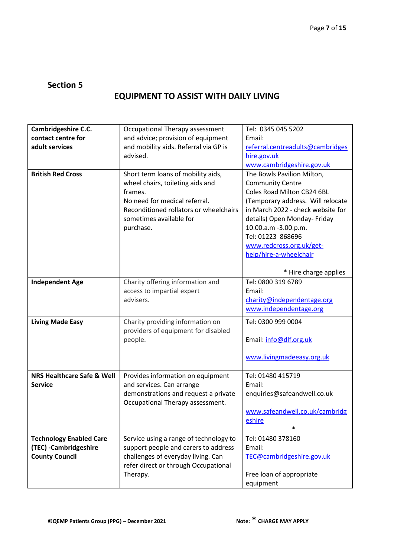# **EQUIPMENT TO ASSIST WITH DAILY LIVING**

| Cambridgeshire C.C.                                                               | Occupational Therapy assessment                                                                                                                                                                      | Tel: 0345 045 5202                                                                                                                                                                                                                                                                               |
|-----------------------------------------------------------------------------------|------------------------------------------------------------------------------------------------------------------------------------------------------------------------------------------------------|--------------------------------------------------------------------------------------------------------------------------------------------------------------------------------------------------------------------------------------------------------------------------------------------------|
| contact centre for                                                                | and advice; provision of equipment                                                                                                                                                                   | Email:                                                                                                                                                                                                                                                                                           |
| adult services                                                                    | and mobility aids. Referral via GP is                                                                                                                                                                | referral.centreadults@cambridges                                                                                                                                                                                                                                                                 |
|                                                                                   | advised.                                                                                                                                                                                             | hire.gov.uk                                                                                                                                                                                                                                                                                      |
|                                                                                   |                                                                                                                                                                                                      | www.cambridgeshire.gov.uk                                                                                                                                                                                                                                                                        |
| <b>British Red Cross</b>                                                          | Short term loans of mobility aids,<br>wheel chairs, toileting aids and<br>frames.<br>No need for medical referral.<br>Reconditioned rollators or wheelchairs<br>sometimes available for<br>purchase. | The Bowls Pavilion Milton,<br><b>Community Centre</b><br>Coles Road Milton CB24 6BL<br>(Temporary address. Will relocate<br>in March 2022 - check website for<br>details) Open Monday- Friday<br>10.00.a.m -3.00.p.m.<br>Tel: 01223 868696<br>www.redcross.org.uk/get-<br>help/hire-a-wheelchair |
|                                                                                   |                                                                                                                                                                                                      | * Hire charge applies                                                                                                                                                                                                                                                                            |
| <b>Independent Age</b>                                                            | Charity offering information and<br>access to impartial expert<br>advisers.                                                                                                                          | Tel: 0800 319 6789<br>Email:<br>charity@independentage.org<br>www.independentage.org                                                                                                                                                                                                             |
| <b>Living Made Easy</b>                                                           | Charity providing information on<br>providers of equipment for disabled<br>people.                                                                                                                   | Tel: 0300 999 0004<br>Email: info@dlf.org.uk<br>www.livingmadeeasy.org.uk                                                                                                                                                                                                                        |
| <b>NRS Healthcare Safe &amp; Well</b><br><b>Service</b>                           | Provides information on equipment<br>and services. Can arrange<br>demonstrations and request a private<br>Occupational Therapy assessment.                                                           | Tel: 01480 415719<br>Email:<br>enquiries@safeandwell.co.uk<br>www.safeandwell.co.uk/cambridg<br>eshire<br>$\ast$                                                                                                                                                                                 |
| <b>Technology Enabled Care</b><br>(TEC) - Cambridgeshire<br><b>County Council</b> | Service using a range of technology to<br>support people and carers to address<br>challenges of everyday living. Can<br>refer direct or through Occupational<br>Therapy.                             | Tel: 01480 378160<br>Email:<br>TEC@cambridgeshire.gov.uk<br>Free loan of appropriate<br>equipment                                                                                                                                                                                                |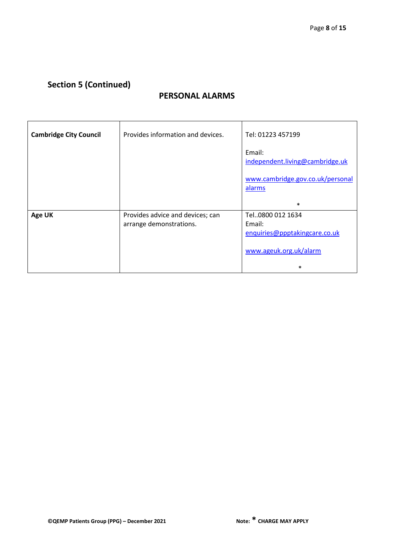# **Section 5 (Continued)**

### **PERSONAL ALARMS**

| <b>Cambridge City Council</b> | Provides information and devices.                           | Tel: 01223 457199                                                                     |
|-------------------------------|-------------------------------------------------------------|---------------------------------------------------------------------------------------|
|                               |                                                             | Email:<br>independent.living@cambridge.uk                                             |
|                               |                                                             | www.cambridge.gov.co.uk/personal<br>alarms                                            |
|                               |                                                             | $\ast$                                                                                |
| <b>Age UK</b>                 | Provides advice and devices; can<br>arrange demonstrations. | Tel0800 012 1634<br>Email:<br>enquiries@ppptakingcare.co.uk<br>www.ageuk.org.uk/alarm |
|                               |                                                             | $\ast$                                                                                |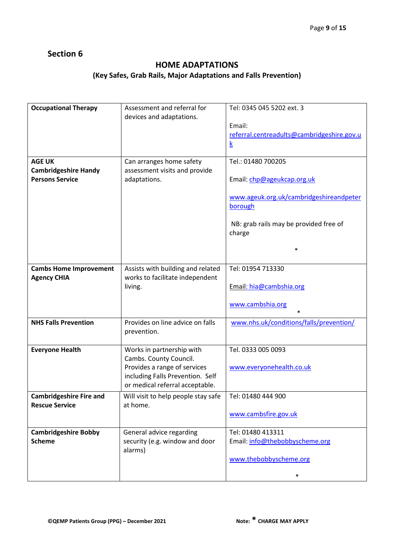### **HOME ADAPTATIONS**

### **(Key Safes, Grab Rails, Major Adaptations and Falls Prevention)**

| <b>Occupational Therapy</b>                                            | Assessment and referral for<br>devices and adaptations.                                                                                                    | Tel: 0345 045 5202 ext. 3<br>Email:<br>referral.centreadults@cambridgeshire.gov.u<br>$\underline{k}$                                                                 |
|------------------------------------------------------------------------|------------------------------------------------------------------------------------------------------------------------------------------------------------|----------------------------------------------------------------------------------------------------------------------------------------------------------------------|
| <b>AGE UK</b><br><b>Cambridgeshire Handy</b><br><b>Persons Service</b> | Can arranges home safety<br>assessment visits and provide<br>adaptations.                                                                                  | Tel.: 01480 700205<br>Email: chp@ageukcap.org.uk<br>www.ageuk.org.uk/cambridgeshireandpeter<br>borough<br>NB: grab rails may be provided free of<br>charge<br>$\ast$ |
| <b>Cambs Home Improvement</b><br><b>Agency CHIA</b>                    | Assists with building and related<br>works to facilitate independent<br>living.                                                                            | Tel: 01954 713330<br>Email: hia@cambshia.org<br>www.cambshia.org                                                                                                     |
| <b>NHS Falls Prevention</b>                                            | Provides on line advice on falls<br>prevention.                                                                                                            | www.nhs.uk/conditions/falls/prevention/                                                                                                                              |
| <b>Everyone Health</b>                                                 | Works in partnership with<br>Cambs. County Council.<br>Provides a range of services<br>including Falls Prevention. Self<br>or medical referral acceptable. | Tel. 0333 005 0093<br>www.everyonehealth.co.uk                                                                                                                       |
| <b>Cambridgeshire Fire and</b><br><b>Rescue Service</b>                | Will visit to help people stay safe<br>at home.                                                                                                            | Tel: 01480 444 900<br>www.cambsfire.gov.uk                                                                                                                           |
| <b>Cambridgeshire Bobby</b><br><b>Scheme</b>                           | General advice regarding<br>security (e.g. window and door<br>alarms)                                                                                      | Tel: 01480 413311<br>Email: info@thebobbyscheme.org<br>www.thebobbyscheme.org<br>$\ast$                                                                              |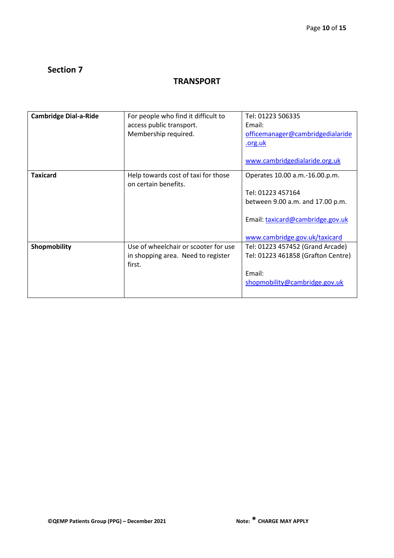### **TRANSPORT**

| <b>Cambridge Dial-a-Ride</b> | For people who find it difficult to<br>access public transport.<br>Membership required. | Tel: 01223 506335<br>Email:<br>officemanager@cambridgedialaride<br>org.uk<br>www.cambridgedialaride.org.uk                                                   |
|------------------------------|-----------------------------------------------------------------------------------------|--------------------------------------------------------------------------------------------------------------------------------------------------------------|
| <b>Taxicard</b>              | Help towards cost of taxi for those<br>on certain benefits.                             | Operates 10.00 a.m.-16.00.p.m.<br>Tel: 01223 457164<br>between 9.00 a.m. and 17.00 p.m.<br>Email: taxicard@cambridge.gov.uk<br>www.cambridge.gov.uk/taxicard |
| Shopmobility                 | Use of wheelchair or scooter for use<br>in shopping area. Need to register<br>first.    | Tel: 01223 457452 (Grand Arcade)<br>Tel: 01223 461858 (Grafton Centre)<br>Email:<br>shopmobility@cambridge.gov.uk                                            |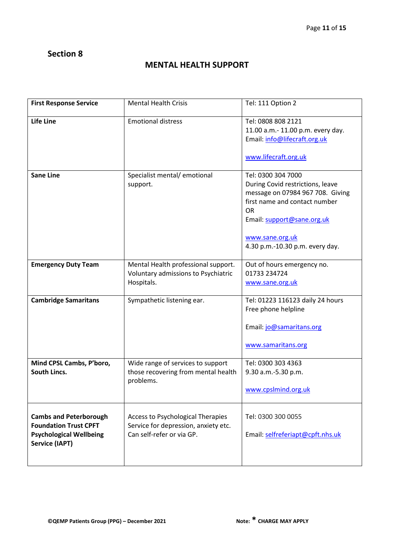### **MENTAL HEALTH SUPPORT**

| <b>First Response Service</b>                                                                                            | <b>Mental Health Crisis</b>                                                                            | Tel: 111 Option 2                                                                                                                                                                                                            |
|--------------------------------------------------------------------------------------------------------------------------|--------------------------------------------------------------------------------------------------------|------------------------------------------------------------------------------------------------------------------------------------------------------------------------------------------------------------------------------|
| Life Line                                                                                                                | <b>Emotional distress</b>                                                                              | Tel: 0808 808 2121<br>11.00 a.m.- 11.00 p.m. every day.<br>Email: info@lifecraft.org.uk<br>www.lifecraft.org.uk                                                                                                              |
| <b>Sane Line</b>                                                                                                         | Specialist mental/emotional<br>support.                                                                | Tel: 0300 304 7000<br>During Covid restrictions, leave<br>message on 07984 967 708. Giving<br>first name and contact number<br><b>OR</b><br>Email: support@sane.org.uk<br>www.sane.org.uk<br>4.30 p.m.-10.30 p.m. every day. |
| <b>Emergency Duty Team</b>                                                                                               | Mental Health professional support.<br>Voluntary admissions to Psychiatric<br>Hospitals.               | Out of hours emergency no.<br>01733 234724<br>www.sane.org.uk                                                                                                                                                                |
| <b>Cambridge Samaritans</b>                                                                                              | Sympathetic listening ear.                                                                             | Tel: 01223 116123 daily 24 hours<br>Free phone helpline<br>Email: jo@samaritans.org<br>www.samaritans.org                                                                                                                    |
| Mind CPSL Cambs, P'boro,<br>South Lincs.                                                                                 | Wide range of services to support<br>those recovering from mental health<br>problems.                  | Tel: 0300 303 4363<br>9.30 a.m.-5.30 p.m.<br>www.cpslmind.org.uk                                                                                                                                                             |
| <b>Cambs and Peterborough</b><br><b>Foundation Trust CPFT</b><br><b>Psychological Wellbeing</b><br><b>Service (IAPT)</b> | Access to Psychological Therapies<br>Service for depression, anxiety etc.<br>Can self-refer or via GP. | Tel: 0300 300 0055<br>Email: selfreferiapt@cpft.nhs.uk                                                                                                                                                                       |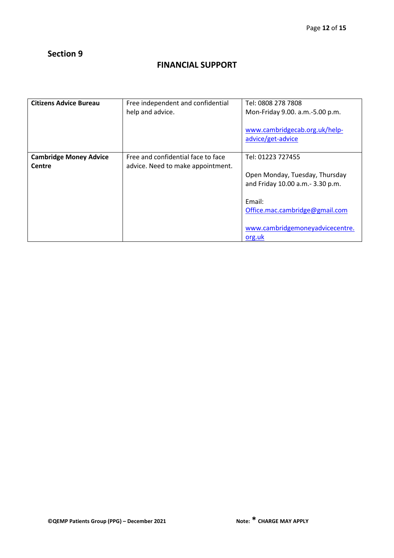# **FINANCIAL SUPPORT**

| <b>Citizens Advice Bureau</b>           | Free independent and confidential<br>help and advice.                   | Tel: 0808 278 7808<br>Mon-Friday 9.00. a.m.-5.00 p.m.<br>www.cambridgecab.org.uk/help-<br>advice/get-advice                                                                      |
|-----------------------------------------|-------------------------------------------------------------------------|----------------------------------------------------------------------------------------------------------------------------------------------------------------------------------|
| <b>Cambridge Money Advice</b><br>Centre | Free and confidential face to face<br>advice. Need to make appointment. | Tel: 01223 727455<br>Open Monday, Tuesday, Thursday<br>and Friday 10.00 a.m.- 3.30 p.m.<br>Email:<br>Office.mac.cambridge@gmail.com<br>www.cambridgemoneyadvicecentre.<br>org.uk |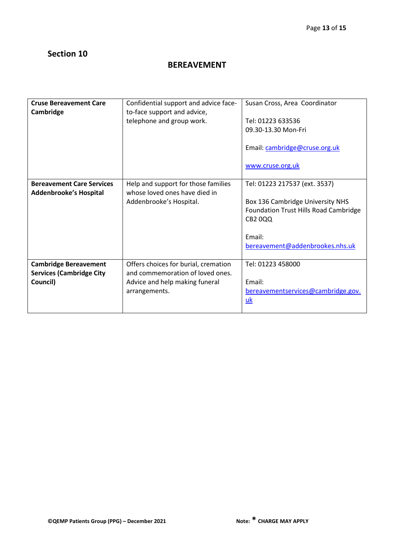# **BEREAVEMENT**

| <b>Cruse Bereavement Care</b><br>Cambridge                                  | Confidential support and advice face-<br>to-face support and advice,<br>telephone and group work.                           | Susan Cross, Area Coordinator<br>Tel: 01223 633536<br>09.30-13.30 Mon-Fri<br>Email: cambridge@cruse.org.uk<br>www.cruse.org.uk                                                   |
|-----------------------------------------------------------------------------|-----------------------------------------------------------------------------------------------------------------------------|----------------------------------------------------------------------------------------------------------------------------------------------------------------------------------|
| <b>Bereavement Care Services</b><br>Addenbrooke's Hospital                  | Help and support for those families<br>whose loved ones have died in<br>Addenbrooke's Hospital.                             | Tel: 01223 217537 (ext. 3537)<br>Box 136 Cambridge University NHS<br><b>Foundation Trust Hills Road Cambridge</b><br><b>CB2 0QQ</b><br>Email:<br>bereavement@addenbrookes.nhs.uk |
| <b>Cambridge Bereavement</b><br><b>Services (Cambridge City</b><br>Council) | Offers choices for burial, cremation<br>and commemoration of loved ones.<br>Advice and help making funeral<br>arrangements. | Tel: 01223 458000<br>Email:<br>bereavementservices@cambridge.gov.<br>uk                                                                                                          |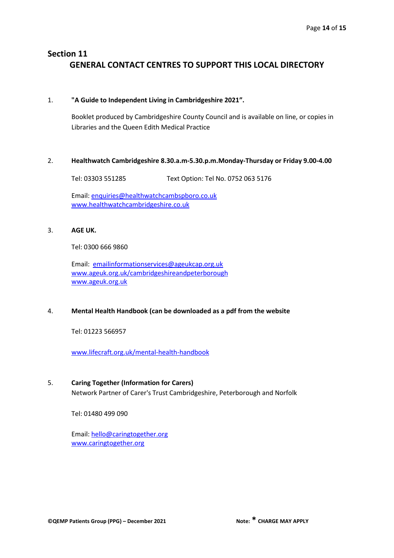# **Section 11 GENERAL CONTACT CENTRES TO SUPPORT THIS LOCAL DIRECTORY**

#### 1. **"A Guide to Independent Living in Cambridgeshire 2021".**

Booklet produced by Cambridgeshire County Council and is available on line, or copies in Libraries and the Queen Edith Medical Practice

#### 2. **Healthwatch Cambridgeshire 8.30.a.m-5.30.p.m.Monday-Thursday or Friday 9.00-4.00**

Tel: 03303 551285 Text Option: Tel No. 0752 063 5176

Email: [enquiries@healthwatchcambspboro.co.uk](about:blank) [www.healthwatchcambridgeshire.co.uk](http://www.healthwatchcambridgeshire.co.uk/)

### 3. **AGE UK.**

Tel: 0300 666 9860

Email: [emailinformationservices@ageukcap.org.uk](about:blank) [www.ageuk.org.uk/cambridgeshireandpeterborough](http://www.ageuk.org.uk/cambridgeshireandpeterborough) [www.ageuk.org.uk](http://www.ageuk.org.uk/)

### 4. **Mental Health Handbook (can be downloaded as a pdf from the website**

Tel: 01223 566957

[www.lifecraft.org.uk/mental-health-handbook](http://www.lifecraft.org.uk/mental-health-handbook)

### 5. **Caring Together (Information for Carers)**

Network Partner of Carer's Trust Cambridgeshire, Peterborough and Norfolk

Tel: 01480 499 090

Email: [hello@caringtogether.org](mailto:hello@caringtogether.org) [www.caringtogether.org](about:blank)